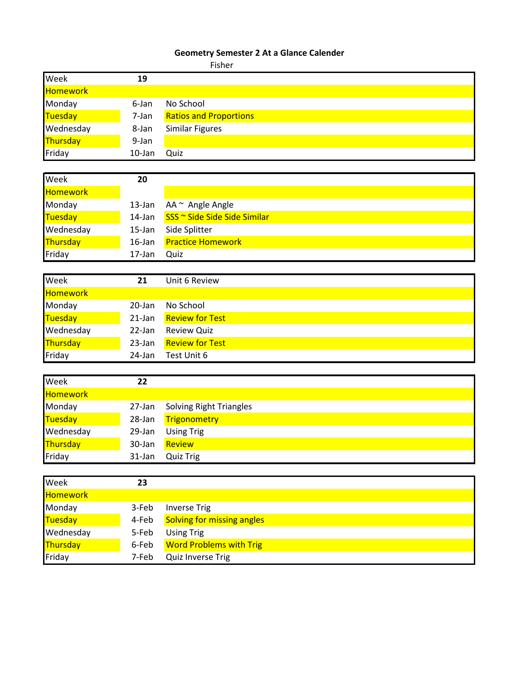## **Geometry Semester 2 At a Glance Calender**

|                 |           | Fisher                        |
|-----------------|-----------|-------------------------------|
| Week            | 19        |                               |
| <b>Homework</b> |           |                               |
| Monday          | 6-Jan     | No School                     |
| Tuesday         | 7-Jan     | <b>Ratios and Proportions</b> |
| Wednesday       | 8-Jan     | <b>Similar Figures</b>        |
| Thursday        | 9-Jan     |                               |
| Friday          | $10$ -Jan | Quiz                          |
|                 |           |                               |
| Week            | 20        |                               |
| <b>Homework</b> |           |                               |
| Monday          | $13$ -Jan | AA ~ Angle Angle              |
| Tuesday         | 14-Jan    | SSS ~ Side Side Side Similar  |
| Wednesday       | $15$ -Jan | Side Splitter                 |
| Thursday        | $16$ -Jan | <b>Practice Homework</b>      |
| Friday          | 17-Jan    | Quiz                          |
|                 |           |                               |
| Week            | 21        | Unit 6 Review                 |
| <b>Homework</b> |           |                               |
| Monday          | $20$ -Jan | No School                     |
| <b>Tuesday</b>  | $21$ -Jan | <b>Review for Test</b>        |
| Wednesday       | $22$ -Jan | <b>Review Quiz</b>            |
| Thursday        | $23$ -Jan | <b>Review for Test</b>        |
| Friday          | 24-Jan    | Test Unit 6                   |
|                 |           |                               |
| Week            | 22        |                               |
| Homework        |           |                               |

| <b>Homework</b> |        |                                |
|-----------------|--------|--------------------------------|
| Monday          |        | 27-Jan Solving Right Triangles |
| Tuesday         |        | 28-Jan Trigonometry            |
| Wednesday       | 29-Jan | <b>Using Trig</b>              |
| <b>Thursday</b> | 30-Jan | Review                         |
| Friday          | 31-Jan | Quiz Trig                      |

| Week           | 23    |                                   |
|----------------|-------|-----------------------------------|
| Homework       |       |                                   |
| Monday         | 3-Feb | <b>Inverse Trig</b>               |
| <b>Tuesday</b> | 4-Feb | <b>Solving for missing angles</b> |
| Wednesday      | 5-Feb | <b>Using Trig</b>                 |
| Thursday       | 6-Feb | <b>Word Problems with Trig</b>    |
| Friday         | 7-Feb | Quiz Inverse Trig                 |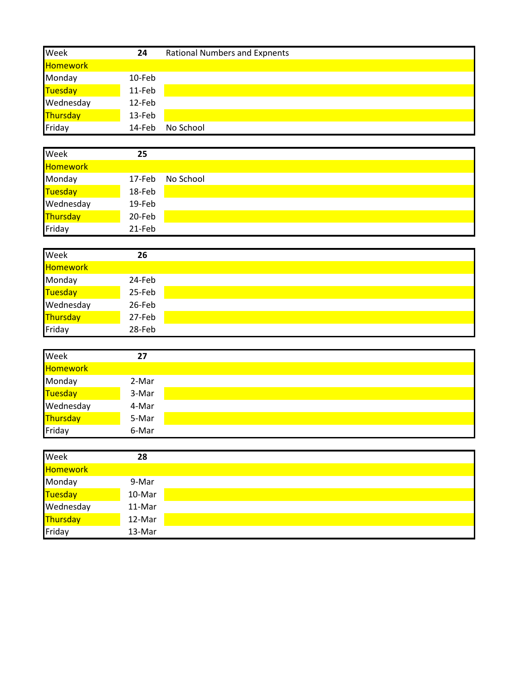| Week            | 24     | <b>Rational Numbers and Expnents</b> |
|-----------------|--------|--------------------------------------|
| <b>Homework</b> |        |                                      |
| Monday          | 10-Feb |                                      |
| <b>Tuesday</b>  | 11-Feb |                                      |
| Wednesday       | 12-Feb |                                      |
| Thursday        | 13-Feb |                                      |
| Friday          | 14-Feb | No School                            |
|                 |        |                                      |
| Week            | 25     |                                      |
| <b>Homework</b> |        |                                      |
| Monday          | 17-Feb | No School                            |
| <b>Tuesday</b>  | 18-Feb |                                      |
| Wednesday       | 19-Feb |                                      |
| Thursday        | 20-Feb |                                      |
| Friday          | 21-Feb |                                      |
|                 |        |                                      |
| Week            | 26     |                                      |
| <b>Homework</b> |        |                                      |
| Monday          | 24-Feb |                                      |
| <b>Tuesday</b>  | 25-Feb |                                      |
| Wednesday       | 26-Feb |                                      |
| Thursday        | 27-Feb |                                      |
| Friday          | 28-Feb |                                      |
|                 |        |                                      |
| Week            | 27     |                                      |

| <b>I</b> VACC <sub>N</sub> |       |
|----------------------------|-------|
| <b>Homework</b>            |       |
| Monday                     | 2-Mar |
| Tuesday                    | 3-Mar |
| Wednesday                  | 4-Mar |
| <mark>Thursday</mark>      | 5-Mar |
| Friday                     | 6-Mar |

| Week            | 28     |
|-----------------|--------|
| <b>Homework</b> |        |
| Monday          | 9-Mar  |
| Tuesday         | 10-Mar |
| Wednesday       | 11-Mar |
| Thursday        | 12-Mar |
| Friday          | 13-Mar |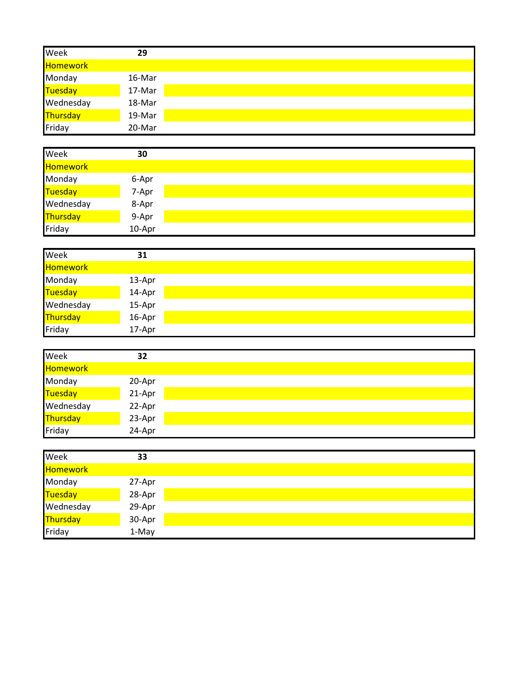| Week            | 29     |
|-----------------|--------|
| Homework        |        |
| Monday          | 16-Mar |
| Tuesday         | 17-Mar |
| Wednesday       | 18-Mar |
| <b>Thursday</b> | 19-Mar |
| Friday          | 20-Mar |
|                 |        |
| Week            | 30     |
| Homework        |        |
| Monday          | 6-Apr  |
| Tuesday         | 7-Apr  |
| Wednesday       | 8-Apr  |
| Thursday        | 9-Apr  |
| Friday          | 10-Apr |
|                 |        |
| Week            | 31     |
| <b>Homework</b> |        |
| Monday          | 13-Apr |
| Tuesday         | 14-Apr |
| Wednesday       | 15-Apr |
| Thursday        | 16-Apr |
| Friday          | 17-Apr |
|                 |        |
| Week            | 32     |
| Homework        |        |
| Monday          | 20-Apr |
| Tuesday         | 21-Apr |
| Wednesday       | 22-Apr |
| Thursday        | 23-Apr |
| Friday          | 24-Apr |
|                 |        |
| Week            | 33     |
| Homework        |        |
| Monday          | 27-Apr |
| Tuesday         | 28-Apr |
| Wednesday       | 29-Apr |
| <b>Thursday</b> | 30-Apr |
| Friday          | 1-May  |
|                 |        |